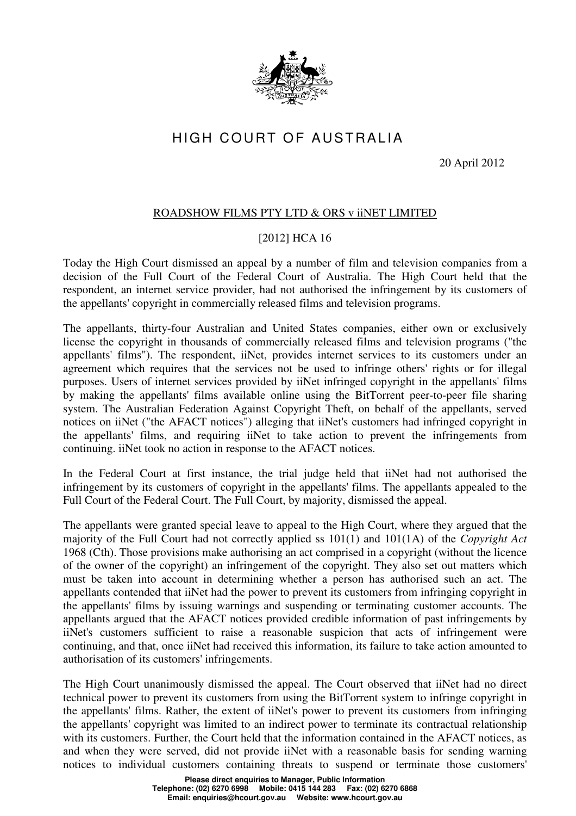

## HIGH COURT OF AUSTRALIA

20 April 2012

## ROADSHOW FILMS PTY LTD & ORS v iiNET LIMITED

## [2012] HCA 16

Today the High Court dismissed an appeal by a number of film and television companies from a decision of the Full Court of the Federal Court of Australia. The High Court held that the respondent, an internet service provider, had not authorised the infringement by its customers of the appellants' copyright in commercially released films and television programs.

The appellants, thirty-four Australian and United States companies, either own or exclusively license the copyright in thousands of commercially released films and television programs ("the appellants' films"). The respondent, iiNet, provides internet services to its customers under an agreement which requires that the services not be used to infringe others' rights or for illegal purposes. Users of internet services provided by iiNet infringed copyright in the appellants' films by making the appellants' films available online using the BitTorrent peer-to-peer file sharing system. The Australian Federation Against Copyright Theft, on behalf of the appellants, served notices on iiNet ("the AFACT notices") alleging that iiNet's customers had infringed copyright in the appellants' films, and requiring iiNet to take action to prevent the infringements from continuing. iiNet took no action in response to the AFACT notices.

In the Federal Court at first instance, the trial judge held that iiNet had not authorised the infringement by its customers of copyright in the appellants' films. The appellants appealed to the Full Court of the Federal Court. The Full Court, by majority, dismissed the appeal.

The appellants were granted special leave to appeal to the High Court, where they argued that the majority of the Full Court had not correctly applied ss 101(1) and 101(1A) of the *Copyright Act* 1968 (Cth). Those provisions make authorising an act comprised in a copyright (without the licence of the owner of the copyright) an infringement of the copyright. They also set out matters which must be taken into account in determining whether a person has authorised such an act. The appellants contended that iiNet had the power to prevent its customers from infringing copyright in the appellants' films by issuing warnings and suspending or terminating customer accounts. The appellants argued that the AFACT notices provided credible information of past infringements by iiNet's customers sufficient to raise a reasonable suspicion that acts of infringement were continuing, and that, once iiNet had received this information, its failure to take action amounted to authorisation of its customers' infringements.

The High Court unanimously dismissed the appeal. The Court observed that iiNet had no direct technical power to prevent its customers from using the BitTorrent system to infringe copyright in the appellants' films. Rather, the extent of iiNet's power to prevent its customers from infringing the appellants' copyright was limited to an indirect power to terminate its contractual relationship with its customers. Further, the Court held that the information contained in the AFACT notices, as and when they were served, did not provide iiNet with a reasonable basis for sending warning notices to individual customers containing threats to suspend or terminate those customers'